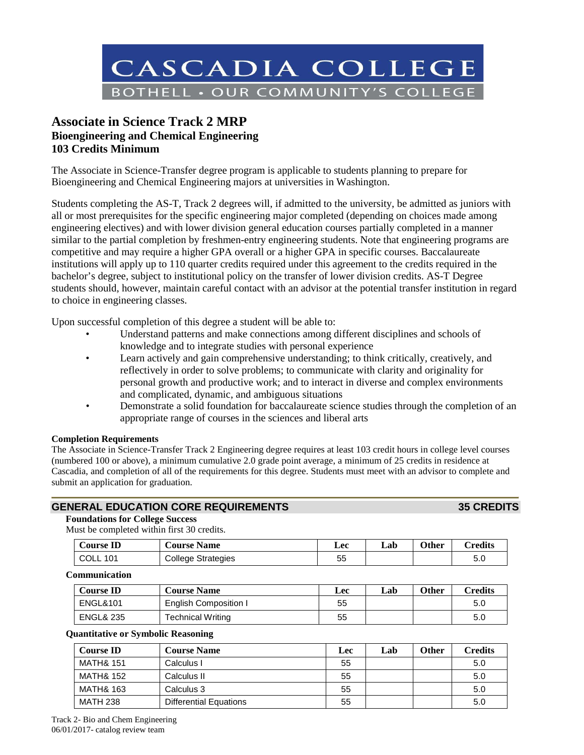

# **Associate in Science Track 2 MRP Bioengineering and Chemical Engineering 103 Credits Minimum**

The Associate in Science-Transfer degree program is applicable to students planning to prepare for Bioengineering and Chemical Engineering majors at universities in Washington.

Students completing the AS-T, Track 2 degrees will, if admitted to the university, be admitted as juniors with all or most prerequisites for the specific engineering major completed (depending on choices made among engineering electives) and with lower division general education courses partially completed in a manner similar to the partial completion by freshmen-entry engineering students. Note that engineering programs are competitive and may require a higher GPA overall or a higher GPA in specific courses. Baccalaureate institutions will apply up to 110 quarter credits required under this agreement to the credits required in the bachelor's degree, subject to institutional policy on the transfer of lower division credits. AS-T Degree students should, however, maintain careful contact with an advisor at the potential transfer institution in regard to choice in engineering classes.

Upon successful completion of this degree a student will be able to:

- Understand patterns and make connections among different disciplines and schools of knowledge and to integrate studies with personal experience
- Learn actively and gain comprehensive understanding; to think critically, creatively, and reflectively in order to solve problems; to communicate with clarity and originality for personal growth and productive work; and to interact in diverse and complex environments and complicated, dynamic, and ambiguous situations
- Demonstrate a solid foundation for baccalaureate science studies through the completion of an appropriate range of courses in the sciences and liberal arts

# **Completion Requirements**

The Associate in Science-Transfer Track 2 Engineering degree requires at least 103 credit hours in college level courses (numbered 100 or above), a minimum cumulative 2.0 grade point average, a minimum of 25 credits in residence at Cascadia, and completion of all of the requirements for this degree. Students must meet with an advisor to complete and submit an application for graduation.

# **GENERAL EDUCATION CORE REQUIREMENTS 35 CREDITS**

#### **Foundations for College Success**

Must be completed within first 30 credits.

| <b>Course ID</b> | <b>Course Name</b>        | Lec | Lab | Other | <b>Credits</b> |
|------------------|---------------------------|-----|-----|-------|----------------|
| COLL<br>101      | <b>College Strategies</b> | 55  |     |       | 50<br>ິບ.ບ     |

**Communication**

| <b>Course ID</b>     | <b>Course Name</b>    | Lec | Lab | Other | $C$ redits |
|----------------------|-----------------------|-----|-----|-------|------------|
| <b>ENGL&amp;101</b>  | English Composition I | 55  |     |       | 5.0        |
| <b>ENGL&amp; 235</b> | Technical Writing     | 55  |     |       | 5.0        |

# **Quantitative or Symbolic Reasoning**

| <b>Course ID</b>     | <b>Course Name</b>            | Lec | Lab | <b>Other</b> | <b>Credits</b> |
|----------------------|-------------------------------|-----|-----|--------------|----------------|
| MATH& 151            | Calculus I                    | 55  |     |              | 5.0            |
| <b>MATH&amp; 152</b> | Calculus II                   | 55  |     |              | 5.0            |
| <b>MATH&amp; 163</b> | Calculus 3                    | 55  |     |              | 5.0            |
| <b>MATH 238</b>      | <b>Differential Equations</b> | 55  |     |              | 5.0            |